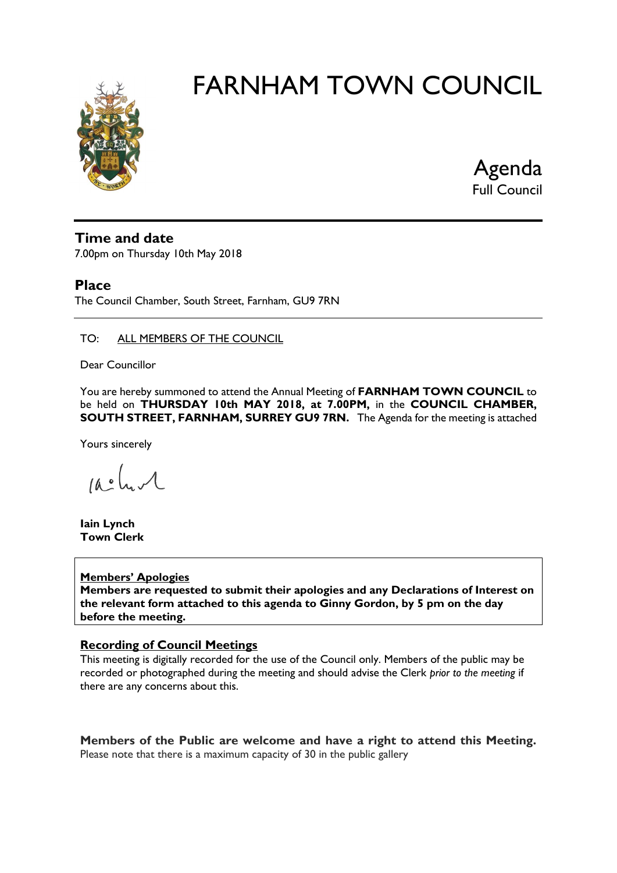

Agenda Full Council

# **Time and date**

7.00pm on Thursday 10th May 2018

# **Place**

The Council Chamber, South Street, Farnham, GU9 7RN

### TO: ALL MEMBERS OF THE COUNCIL

Dear Councillor

You are hereby summoned to attend the Annual Meeting of **FARNHAM TOWN COUNCIL** to be held on **THURSDAY 10th MAY 2018, at 7.00PM,** in the **COUNCIL CHAMBER, SOUTH STREET, FARNHAM, SURREY GU9 7RN.** The Agenda for the meeting is attached

Yours sincerely

 $10.0$ 

**Iain Lynch Town Clerk**

#### **Members' Apologies**

**Members are requested to submit their apologies and any Declarations of Interest on the relevant form attached to this agenda to Ginny Gordon, by 5 pm on the day before the meeting.**

## **Recording of Council Meetings**

This meeting is digitally recorded for the use of the Council only. Members of the public may be recorded or photographed during the meeting and should advise the Clerk *prior to the meeting* if there are any concerns about this.

**Members of the Public are welcome and have a right to attend this Meeting.**  Please note that there is a maximum capacity of 30 in the public gallery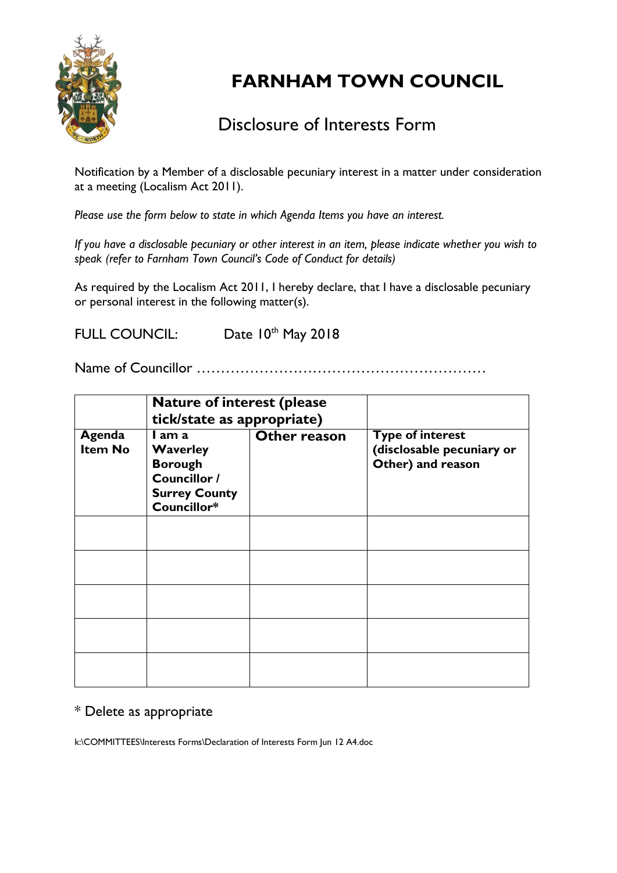

# Disclosure of Interests Form

Notification by a Member of a disclosable pecuniary interest in a matter under consideration at a meeting (Localism Act 2011).

*Please use the form below to state in which Agenda Items you have an interest.* 

*If you have a disclosable pecuniary or other interest in an item, please indicate whether you wish to speak (refer to Farnham Town Council's Code of Conduct for details)*

As required by the Localism Act 2011, I hereby declare, that I have a disclosable pecuniary or personal interest in the following matter(s).

FULL COUNCIL: Date 10th May 2018

Name of Councillor ……………………………………………………

|                          | <b>Nature of interest (please)</b><br>tick/state as appropriate)                                   |              |                                                                           |
|--------------------------|----------------------------------------------------------------------------------------------------|--------------|---------------------------------------------------------------------------|
| Agenda<br><b>Item No</b> | I am a<br><b>Waverley</b><br><b>Borough</b><br>Councillor /<br><b>Surrey County</b><br>Councillor* | Other reason | <b>Type of interest</b><br>(disclosable pecuniary or<br>Other) and reason |
|                          |                                                                                                    |              |                                                                           |
|                          |                                                                                                    |              |                                                                           |
|                          |                                                                                                    |              |                                                                           |
|                          |                                                                                                    |              |                                                                           |
|                          |                                                                                                    |              |                                                                           |

# \* Delete as appropriate

k:\COMMITTEES\Interests Forms\Declaration of Interests Form Jun 12 A4.doc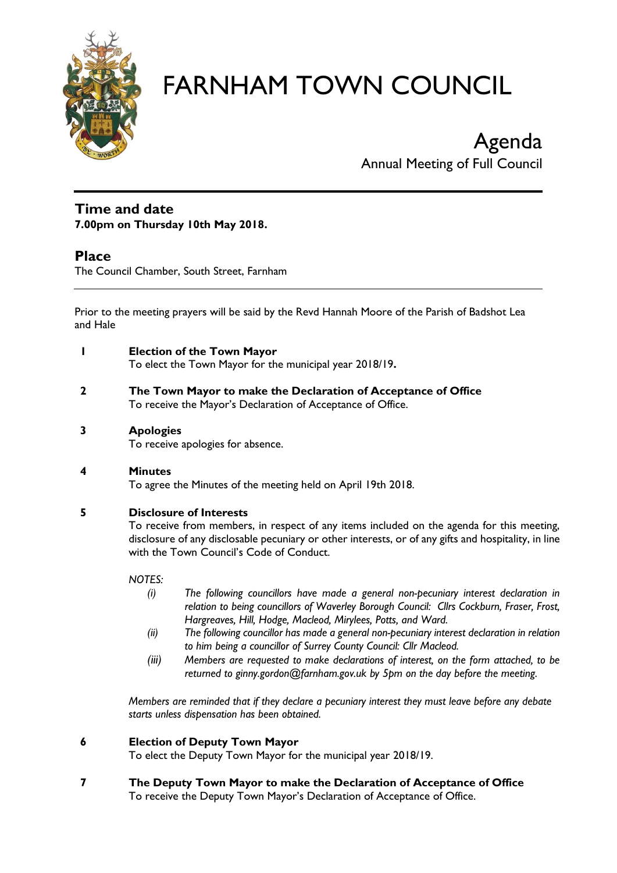

# Agenda Annual Meeting of Full Council

### **Time and date 7.00pm on Thursday 10th May 2018.**

# **Place**

The Council Chamber, South Street, Farnham

Prior to the meeting prayers will be said by the Revd Hannah Moore of the Parish of Badshot Lea and Hale

- **1 Election of the Town Mayor** To elect the Town Mayor for the municipal year 2018/19**.**
- **2 The Town Mayor to make the Declaration of Acceptance of Office** To receive the Mayor's Declaration of Acceptance of Office.

#### **3 Apologies**

To receive apologies for absence.

## **4 Minutes**

To agree the Minutes of the meeting held on April 19th 2018.

## **5 Disclosure of Interests**

To receive from members, in respect of any items included on the agenda for this meeting, disclosure of any disclosable pecuniary or other interests, or of any gifts and hospitality, in line with the Town Council's Code of Conduct.

#### *NOTES:*

- *(i) The following councillors have made a general non-pecuniary interest declaration in relation to being councillors of Waverley Borough Council: Cllrs Cockburn, Fraser, Frost, Hargreaves, Hill, Hodge, Macleod, Mirylees, Potts, and Ward.*
- *(ii) The following councillor has made a general non-pecuniary interest declaration in relation to him being a councillor of Surrey County Council: Cllr Macleod.*
- *(iii) Members are requested to make declarations of interest, on the form attached, to be returned to ginny.gordon@farnham.gov.uk by 5pm on the day before the meeting.*

*Members are reminded that if they declare a pecuniary interest they must leave before any debate starts unless dispensation has been obtained.*

#### **6 Election of Deputy Town Mayor**

To elect the Deputy Town Mayor for the municipal year 2018/19.

**7 The Deputy Town Mayor to make the Declaration of Acceptance of Office** To receive the Deputy Town Mayor's Declaration of Acceptance of Office.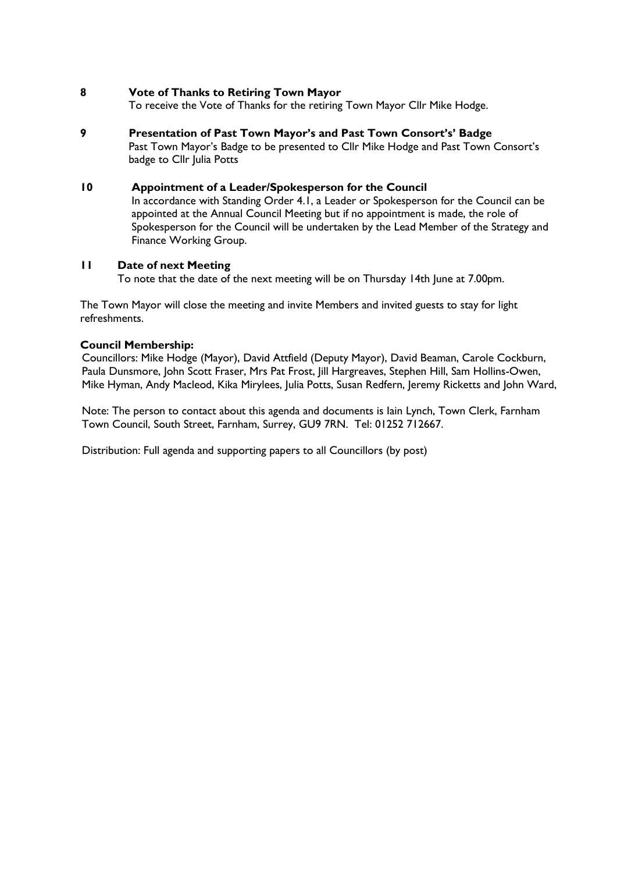#### **8 Vote of Thanks to Retiring Town Mayor**

To receive the Vote of Thanks for the retiring Town Mayor Cllr Mike Hodge.

**9 Presentation of Past Town Mayor's and Past Town Consort's' Badge** Past Town Mayor's Badge to be presented to Cllr Mike Hodge and Past Town Consort's badge to Cllr Julia Potts

#### **10 Appointment of a Leader/Spokesperson for the Council**

In accordance with Standing Order 4.1, a Leader or Spokesperson for the Council can be appointed at the Annual Council Meeting but if no appointment is made, the role of Spokesperson for the Council will be undertaken by the Lead Member of the Strategy and Finance Working Group.

#### **11 Date of next Meeting**

To note that the date of the next meeting will be on Thursday 14th June at 7.00pm.

The Town Mayor will close the meeting and invite Members and invited guests to stay for light refreshments.

#### **Council Membership:**

Councillors: Mike Hodge (Mayor), David Attfield (Deputy Mayor), David Beaman, Carole Cockburn, Paula Dunsmore, John Scott Fraser, Mrs Pat Frost, Jill Hargreaves, Stephen Hill, Sam Hollins-Owen, Mike Hyman, Andy Macleod, Kika Mirylees, Julia Potts, Susan Redfern, Jeremy Ricketts and John Ward,

Note: The person to contact about this agenda and documents is Iain Lynch, Town Clerk, Farnham Town Council, South Street, Farnham, Surrey, GU9 7RN. Tel: 01252 712667.

Distribution: Full agenda and supporting papers to all Councillors (by post)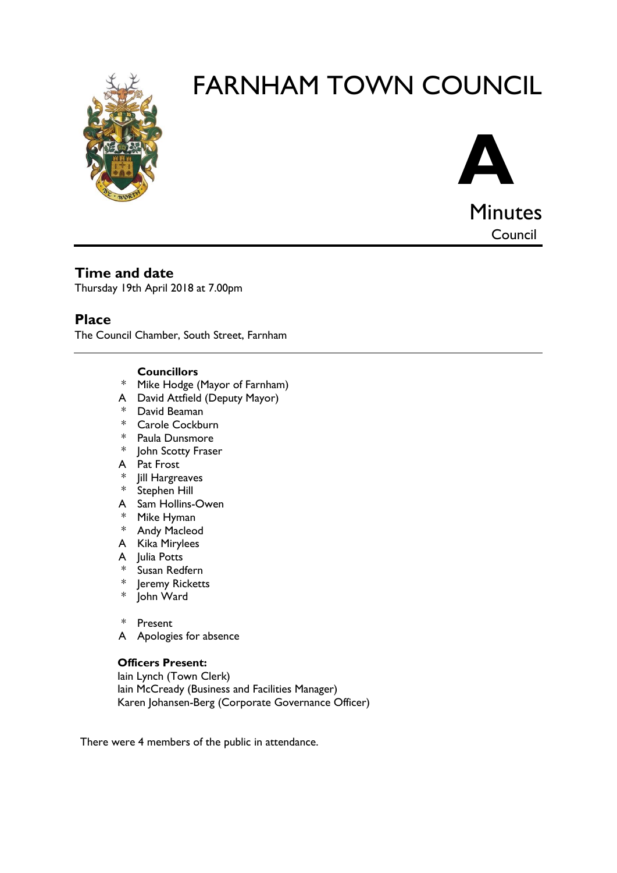



**Minutes** Council

# **Time and date**

Thursday 19th April 2018 at 7.00pm

# **Place**

The Council Chamber, South Street, Farnham

### **Councillors**

- \* Mike Hodge (Mayor of Farnham)
- A David Attfield (Deputy Mayor)
- \* David Beaman
- \* Carole Cockburn
- \* Paula Dunsmore
- \* John Scotty Fraser
- A Pat Frost
- \* Jill Hargreaves
- \* Stephen Hill
- A Sam Hollins-Owen
- \* Mike Hyman
- \* Andy Macleod
- A Kika Mirylees
- A Julia Potts
- \* Susan Redfern<br>\* Ieremy Rickett
- Jeremy Ricketts
- \* John Ward
- \* Present
- A Apologies for absence

## **Officers Present:**

Iain Lynch (Town Clerk) Iain McCready (Business and Facilities Manager) Karen Johansen-Berg (Corporate Governance Officer)

There were 4 members of the public in attendance.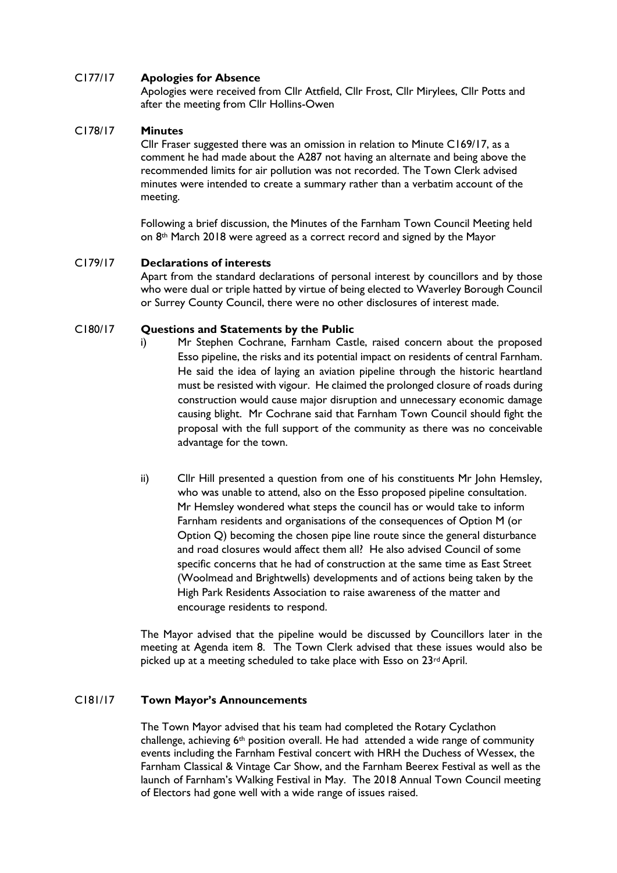#### C177/17 **Apologies for Absence**

Apologies were received from Cllr Attfield, Cllr Frost, Cllr Mirylees, Cllr Potts and after the meeting from Cllr Hollins-Owen

#### C178/17 **Minutes**

Cllr Fraser suggested there was an omission in relation to Minute C169/17, as a comment he had made about the A287 not having an alternate and being above the recommended limits for air pollution was not recorded. The Town Clerk advised minutes were intended to create a summary rather than a verbatim account of the meeting.

Following a brief discussion, the Minutes of the Farnham Town Council Meeting held on 8th March 2018 were agreed as a correct record and signed by the Mayor

#### C179/17 **Declarations of interests**

Apart from the standard declarations of personal interest by councillors and by those who were dual or triple hatted by virtue of being elected to Waverley Borough Council or Surrey County Council, there were no other disclosures of interest made.

#### C180/17 **Questions and Statements by the Public**

- i) Mr Stephen Cochrane, Farnham Castle, raised concern about the proposed Esso pipeline, the risks and its potential impact on residents of central Farnham. He said the idea of laying an aviation pipeline through the historic heartland must be resisted with vigour. He claimed the prolonged closure of roads during construction would cause major disruption and unnecessary economic damage causing blight. Mr Cochrane said that Farnham Town Council should fight the proposal with the full support of the community as there was no conceivable advantage for the town.
- ii) Cllr Hill presented a question from one of his constituents Mr John Hemsley, who was unable to attend, also on the Esso proposed pipeline consultation. Mr Hemsley wondered what steps the council has or would take to inform Farnham residents and organisations of the consequences of Option M (or Option Q) becoming the chosen pipe line route since the general disturbance and road closures would affect them all? He also advised Council of some specific concerns that he had of construction at the same time as East Street (Woolmead and Brightwells) developments and of actions being taken by the High Park Residents Association to raise awareness of the matter and encourage residents to respond.

The Mayor advised that the pipeline would be discussed by Councillors later in the meeting at Agenda item 8. The Town Clerk advised that these issues would also be picked up at a meeting scheduled to take place with Esso on 23rd April.

#### C181/17 **Town Mayor's Announcements**

The Town Mayor advised that his team had completed the Rotary Cyclathon challenge, achieving  $6<sup>th</sup>$  position overall. He had attended a wide range of community events including the Farnham Festival concert with HRH the Duchess of Wessex, the Farnham Classical & Vintage Car Show, and the Farnham Beerex Festival as well as the launch of Farnham's Walking Festival in May. The 2018 Annual Town Council meeting of Electors had gone well with a wide range of issues raised.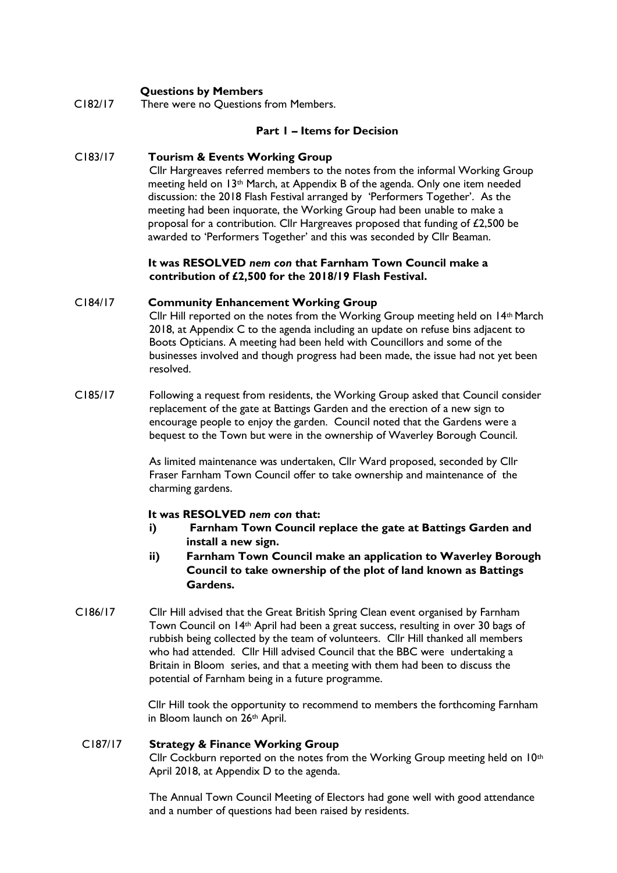#### **Questions by Members**

C182/17 There were no Questions from Members.

#### **Part 1 – Items for Decision**

#### C183/17 **Tourism & Events Working Group**

Cllr Hargreaves referred members to the notes from the informal Working Group meeting held on 13th March, at Appendix B of the agenda. Only one item needed discussion: the 2018 Flash Festival arranged by 'Performers Together'. As the meeting had been inquorate, the Working Group had been unable to make a proposal for a contribution. Cllr Hargreaves proposed that funding of £2,500 be awarded to 'Performers Together' and this was seconded by Cllr Beaman.

#### **It was RESOLVED** *nem con* **that Farnham Town Council make a contribution of £2,500 for the 2018/19 Flash Festival.**

#### C184/17 **Community Enhancement Working Group**

Cllr Hill reported on the notes from the Working Group meeting held on 14th March 2018, at Appendix C to the agenda including an update on refuse bins adjacent to Boots Opticians. A meeting had been held with Councillors and some of the businesses involved and though progress had been made, the issue had not yet been resolved.

C185/17 Following a request from residents, the Working Group asked that Council consider replacement of the gate at Battings Garden and the erection of a new sign to encourage people to enjoy the garden. Council noted that the Gardens were a bequest to the Town but were in the ownership of Waverley Borough Council.

> As limited maintenance was undertaken, Cllr Ward proposed, seconded by Cllr Fraser Farnham Town Council offer to take ownership and maintenance of the charming gardens.

#### **It was RESOLVED** *nem con* **that:**

- **i) Farnham Town Council replace the gate at Battings Garden and install a new sign.**
- **ii) Farnham Town Council make an application to Waverley Borough Council to take ownership of the plot of land known as Battings Gardens.**
- C186/17 Cllr Hill advised that the Great British Spring Clean event organised by Farnham Town Council on 14th April had been a great success, resulting in over 30 bags of rubbish being collected by the team of volunteers. Cllr Hill thanked all members who had attended. Cllr Hill advised Council that the BBC were undertaking a Britain in Bloom series, and that a meeting with them had been to discuss the potential of Farnham being in a future programme.

Cllr Hill took the opportunity to recommend to members the forthcoming Farnham in Bloom launch on 26th April.

#### C187/17 **Strategy & Finance Working Group**

Cllr Cockburn reported on the notes from the Working Group meeting held on 10th April 2018, at Appendix D to the agenda.

The Annual Town Council Meeting of Electors had gone well with good attendance and a number of questions had been raised by residents.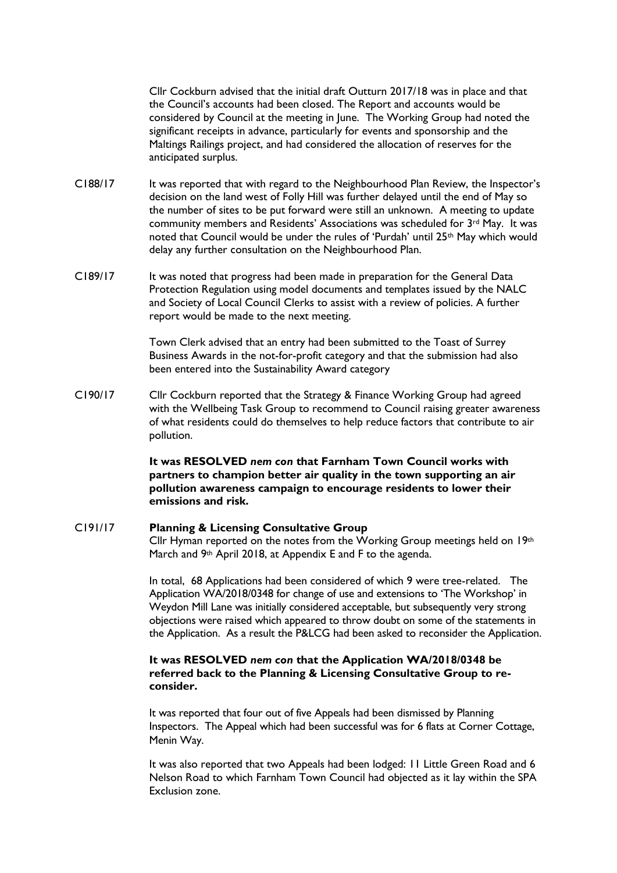Cllr Cockburn advised that the initial draft Outturn 2017/18 was in place and that the Council's accounts had been closed. The Report and accounts would be considered by Council at the meeting in June. The Working Group had noted the significant receipts in advance, particularly for events and sponsorship and the Maltings Railings project, and had considered the allocation of reserves for the anticipated surplus.

- C188/17 It was reported that with regard to the Neighbourhood Plan Review, the Inspector's decision on the land west of Folly Hill was further delayed until the end of May so the number of sites to be put forward were still an unknown. A meeting to update community members and Residents' Associations was scheduled for  $3^{rd}$  May. It was noted that Council would be under the rules of 'Purdah' until 25<sup>th</sup> May which would delay any further consultation on the Neighbourhood Plan.
- C189/17 It was noted that progress had been made in preparation for the General Data Protection Regulation using model documents and templates issued by the NALC and Society of Local Council Clerks to assist with a review of policies. A further report would be made to the next meeting.

Town Clerk advised that an entry had been submitted to the Toast of Surrey Business Awards in the not-for-profit category and that the submission had also been entered into the Sustainability Award category

C190/17 Cllr Cockburn reported that the Strategy & Finance Working Group had agreed with the Wellbeing Task Group to recommend to Council raising greater awareness of what residents could do themselves to help reduce factors that contribute to air pollution.

> **It was RESOLVED** *nem con* **that Farnham Town Council works with partners to champion better air quality in the town supporting an air pollution awareness campaign to encourage residents to lower their emissions and risk.**

#### C191/17 **Planning & Licensing Consultative Group**

Cllr Hyman reported on the notes from the Working Group meetings held on  $19<sup>th</sup>$ March and 9<sup>th</sup> April 2018, at Appendix E and F to the agenda.

In total, 68 Applications had been considered of which 9 were tree-related. The Application WA/2018/0348 for change of use and extensions to 'The Workshop' in Weydon Mill Lane was initially considered acceptable, but subsequently very strong objections were raised which appeared to throw doubt on some of the statements in the Application. As a result the P&LCG had been asked to reconsider the Application.

#### **It was RESOLVED** *nem con* **that the Application WA/2018/0348 be referred back to the Planning & Licensing Consultative Group to reconsider.**

It was reported that four out of five Appeals had been dismissed by Planning Inspectors. The Appeal which had been successful was for 6 flats at Corner Cottage, Menin Way.

It was also reported that two Appeals had been lodged: 11 Little Green Road and 6 Nelson Road to which Farnham Town Council had objected as it lay within the SPA Exclusion zone.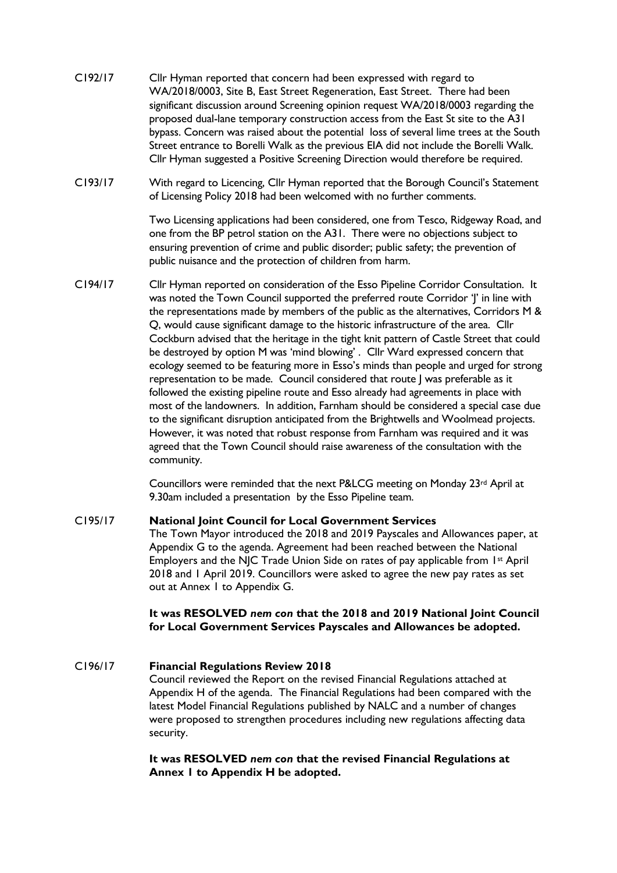- C192/17 Cllr Hyman reported that concern had been expressed with regard to WA/2018/0003, Site B, East Street Regeneration, East Street. There had been significant discussion around Screening opinion request WA/2018/0003 regarding the proposed dual-lane temporary construction access from the East St site to the A31 bypass. Concern was raised about the potential loss of several lime trees at the South Street entrance to Borelli Walk as the previous EIA did not include the Borelli Walk. Cllr Hyman suggested a Positive Screening Direction would therefore be required.
- C193/17 With regard to Licencing, Cllr Hyman reported that the Borough Council's Statement of Licensing Policy 2018 had been welcomed with no further comments.

Two Licensing applications had been considered, one from Tesco, Ridgeway Road, and one from the BP petrol station on the A31. There were no objections subject to ensuring prevention of crime and public disorder; public safety; the prevention of public nuisance and the protection of children from harm.

C194/17 Cllr Hyman reported on consideration of the Esso Pipeline Corridor Consultation. It was noted the Town Council supported the preferred route Corridor 'J' in line with the representations made by members of the public as the alternatives, Corridors M & Q, would cause significant damage to the historic infrastructure of the area. Cllr Cockburn advised that the heritage in the tight knit pattern of Castle Street that could be destroyed by option M was 'mind blowing' . Cllr Ward expressed concern that ecology seemed to be featuring more in Esso's minds than people and urged for strong representation to be made. Council considered that route J was preferable as it followed the existing pipeline route and Esso already had agreements in place with most of the landowners. In addition, Farnham should be considered a special case due to the significant disruption anticipated from the Brightwells and Woolmead projects. However, it was noted that robust response from Farnham was required and it was agreed that the Town Council should raise awareness of the consultation with the community.

> Councillors were reminded that the next P&LCG meeting on Monday 23rd April at 9.30am included a presentation by the Esso Pipeline team.

#### C195/17 **National Joint Council for Local Government Services**

The Town Mayor introduced the 2018 and 2019 Payscales and Allowances paper, at Appendix G to the agenda. Agreement had been reached between the National Employers and the NJC Trade Union Side on rates of pay applicable from 1st April 2018 and 1 April 2019. Councillors were asked to agree the new pay rates as set out at Annex 1 to Appendix G.

#### **It was RESOLVED** *nem con* **that the 2018 and 2019 National Joint Council for Local Government Services Payscales and Allowances be adopted.**

#### C196/17 **Financial Regulations Review 2018** Council reviewed the Report on the revised Financial Regulations attached at Appendix H of the agenda. The Financial Regulations had been compared with the latest Model Financial Regulations published by NALC and a number of changes were proposed to strengthen procedures including new regulations affecting data security.

**It was RESOLVED** *nem con* **that the revised Financial Regulations at Annex 1 to Appendix H be adopted.**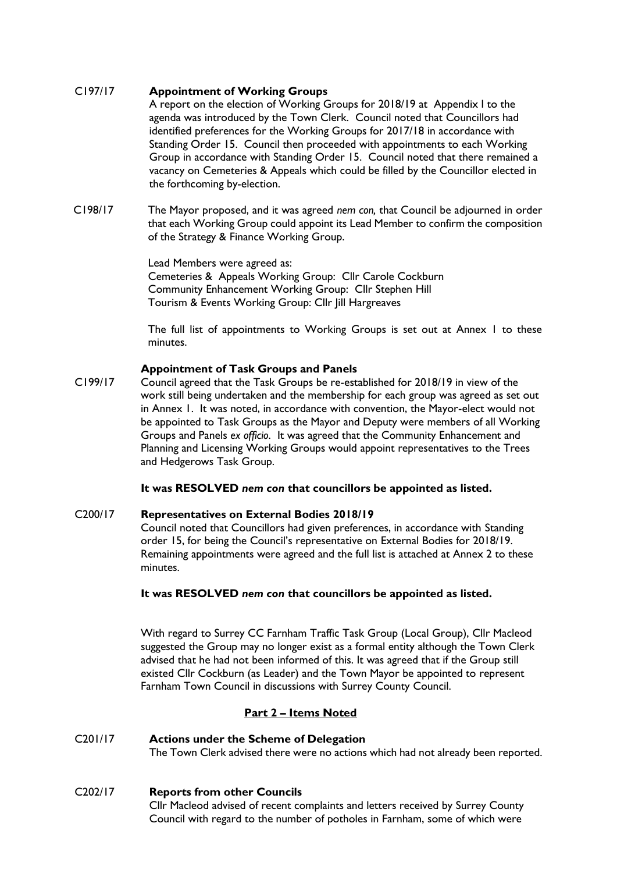#### C197/17 **Appointment of Working Groups**

A report on the election of Working Groups for 2018/19 at Appendix I to the agenda was introduced by the Town Clerk. Council noted that Councillors had identified preferences for the Working Groups for 2017/18 in accordance with Standing Order 15. Council then proceeded with appointments to each Working Group in accordance with Standing Order 15. Council noted that there remained a vacancy on Cemeteries & Appeals which could be filled by the Councillor elected in the forthcoming by-election.

C198/17 The Mayor proposed, and it was agreed *nem con,* that Council be adjourned in order that each Working Group could appoint its Lead Member to confirm the composition of the Strategy & Finance Working Group.

> Lead Members were agreed as: Cemeteries & Appeals Working Group: Cllr Carole Cockburn Community Enhancement Working Group: Cllr Stephen Hill Tourism & Events Working Group: Cllr Jill Hargreaves

The full list of appointments to Working Groups is set out at Annex 1 to these minutes.

#### **Appointment of Task Groups and Panels**

C199/17 Council agreed that the Task Groups be re-established for 2018/19 in view of the work still being undertaken and the membership for each group was agreed as set out in Annex 1. It was noted, in accordance with convention, the Mayor-elect would not be appointed to Task Groups as the Mayor and Deputy were members of all Working Groups and Panels *ex officio*. It was agreed that the Community Enhancement and Planning and Licensing Working Groups would appoint representatives to the Trees and Hedgerows Task Group.

#### **It was RESOLVED** *nem con* **that councillors be appointed as listed.**

#### C200/17 **Representatives on External Bodies 2018/19**

Council noted that Councillors had given preferences, in accordance with Standing order 15, for being the Council's representative on External Bodies for 2018/19. Remaining appointments were agreed and the full list is attached at Annex 2 to these minutes.

#### **It was RESOLVED** *nem con* **that councillors be appointed as listed.**

With regard to Surrey CC Farnham Traffic Task Group (Local Group), Cllr Macleod suggested the Group may no longer exist as a formal entity although the Town Clerk advised that he had not been informed of this. It was agreed that if the Group still existed Cllr Cockburn (as Leader) and the Town Mayor be appointed to represent Farnham Town Council in discussions with Surrey County Council.

#### **Part 2 – Items Noted**

## C201/17 **Actions under the Scheme of Delegation**

The Town Clerk advised there were no actions which had not already been reported.

#### C202/17 **Reports from other Councils**

Cllr Macleod advised of recent complaints and letters received by Surrey County Council with regard to the number of potholes in Farnham, some of which were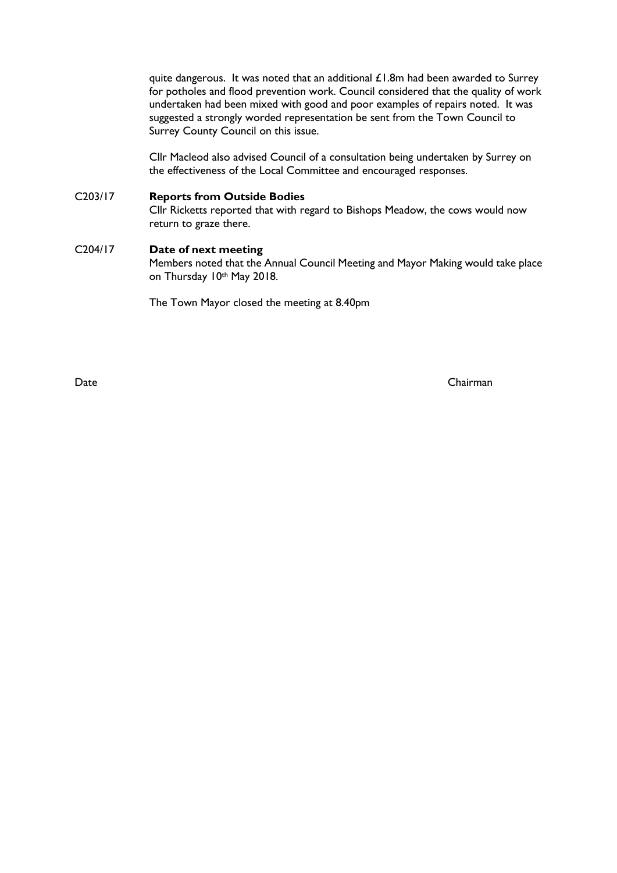quite dangerous. It was noted that an additional  $£1.8m$  had been awarded to Surrey for potholes and flood prevention work. Council considered that the quality of work undertaken had been mixed with good and poor examples of repairs noted. It was suggested a strongly worded representation be sent from the Town Council to Surrey County Council on this issue.

Cllr Macleod also advised Council of a consultation being undertaken by Surrey on the effectiveness of the Local Committee and encouraged responses.

#### C203/17 **Reports from Outside Bodies**

Cllr Ricketts reported that with regard to Bishops Meadow, the cows would now return to graze there.

#### C204/17 **Date of next meeting**

Members noted that the Annual Council Meeting and Mayor Making would take place on Thursday 10th May 2018.

The Town Mayor closed the meeting at 8.40pm

Date Chairman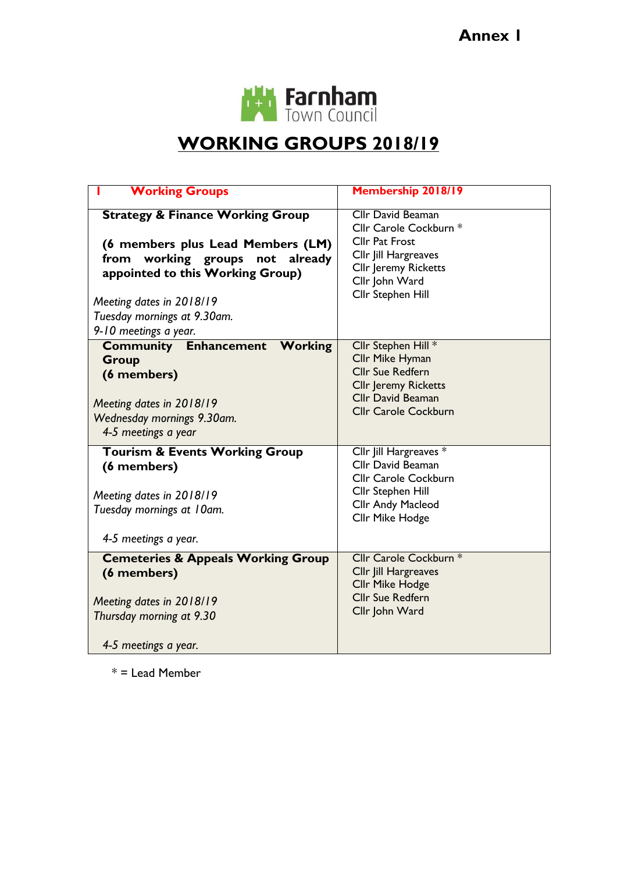

# **WORKING GROUPS 2018/19**

| <b>Working Groups</b>                                                                                                                                                                                                                             | Membership 2018/19                                                                                                                                                 |
|---------------------------------------------------------------------------------------------------------------------------------------------------------------------------------------------------------------------------------------------------|--------------------------------------------------------------------------------------------------------------------------------------------------------------------|
| <b>Strategy &amp; Finance Working Group</b><br>(6 members plus Lead Members (LM)<br>working groups not<br>from<br>already<br>appointed to this Working Group)<br>Meeting dates in 2018/19<br>Tuesday mornings at 9.30am.<br>9-10 meetings a year. | <b>Cllr David Beaman</b><br>Cllr Carole Cockburn *<br><b>Cllr Pat Frost</b><br>Cllr Jill Hargreaves<br>Cllr Jeremy Ricketts<br>Cllr John Ward<br>Cllr Stephen Hill |
| <b>Community Enhancement Working</b><br><b>Group</b><br>(6 members)<br>Meeting dates in 2018/19<br>Wednesday mornings 9.30am.<br>4-5 meetings a year                                                                                              | Cllr Stephen Hill *<br>Cllr Mike Hyman<br><b>Cllr Sue Redfern</b><br><b>Cllr Jeremy Ricketts</b><br><b>Cllr David Beaman</b><br><b>Cllr Carole Cockburn</b>        |
| <b>Tourism &amp; Events Working Group</b><br>(6 members)<br>Meeting dates in 2018/19<br>Tuesday mornings at 10am.<br>4-5 meetings a year.                                                                                                         | Cllr Jill Hargreaves *<br>Cllr David Beaman<br><b>Cllr Carole Cockburn</b><br>Cllr Stephen Hill<br>Cllr Andy Macleod<br>Cllr Mike Hodge                            |
| <b>Cemeteries &amp; Appeals Working Group</b><br>(6 members)<br>Meeting dates in 2018/19<br>Thursday morning at 9.30<br>4-5 meetings a year.                                                                                                      | Cllr Carole Cockburn *<br>Cllr Jill Hargreaves<br><b>Cllr Mike Hodge</b><br><b>Cllr Sue Redfern</b><br>Cllr John Ward                                              |

 $*$  = Lead Member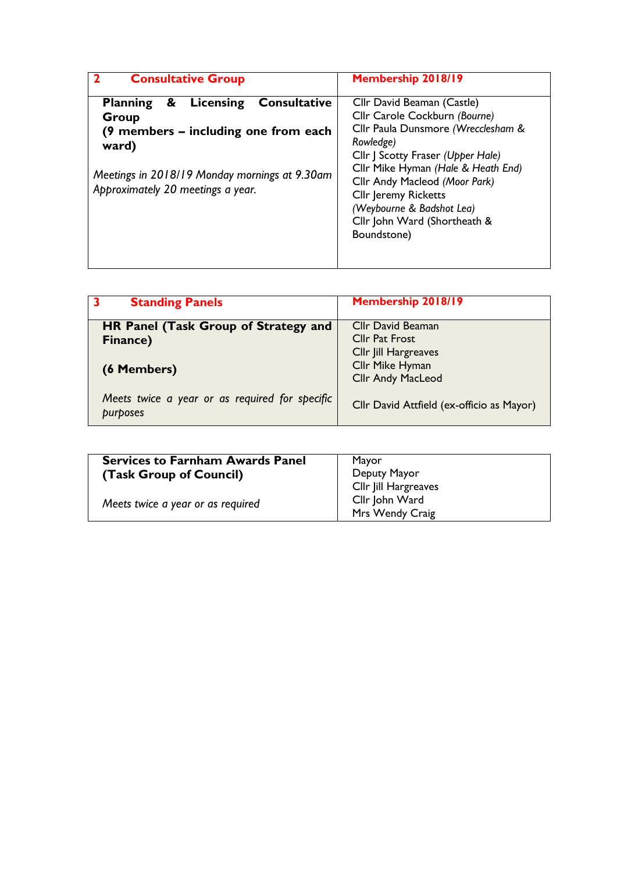| <b>Consultative Group</b>                                                                                                                                                                                | Membership 2018/19                                                                                                                                                                                                                                                                                                                    |
|----------------------------------------------------------------------------------------------------------------------------------------------------------------------------------------------------------|---------------------------------------------------------------------------------------------------------------------------------------------------------------------------------------------------------------------------------------------------------------------------------------------------------------------------------------|
| <b>Consultative</b><br>Licensing<br>&<br><b>Planning</b><br>Group<br>(9 members – including one from each<br>ward)<br>Meetings in 2018/19 Monday mornings at 9.30am<br>Approximately 20 meetings a year. | Cllr David Beaman (Castle)<br>Cllr Carole Cockburn (Bourne)<br>Cllr Paula Dunsmore (Wrecclesham &<br>Rowledge)<br>Cllr J Scotty Fraser (Upper Hale)<br>Cllr Mike Hyman (Hale & Heath End)<br>Cllr Andy Macleod (Moor Park)<br><b>Cllr Jeremy Ricketts</b><br>(Weybourne & Badshot Lea)<br>Cllr John Ward (Shortheath &<br>Boundstone) |

| <b>Standing Panels</b>                                     | Membership 2018/19                        |
|------------------------------------------------------------|-------------------------------------------|
| <b>HR Panel (Task Group of Strategy and</b>                | <b>Cllr David Beaman</b>                  |
| Finance)                                                   | <b>Cllr Pat Frost</b>                     |
|                                                            | Cllr Jill Hargreaves                      |
| (6 Members)                                                | Cllr Mike Hyman                           |
|                                                            | <b>Cllr Andy MacLeod</b>                  |
| Meets twice a year or as required for specific<br>purposes | Cllr David Attfield (ex-officio as Mayor) |

| <b>Services to Farnham Awards Panel</b><br>(Task Group of Council) | Mayor<br>Deputy Mayor             |
|--------------------------------------------------------------------|-----------------------------------|
|                                                                    | Cllr Jill Hargreaves              |
| Meets twice a year or as required                                  | Cllr John Ward<br>Mrs Wendy Craig |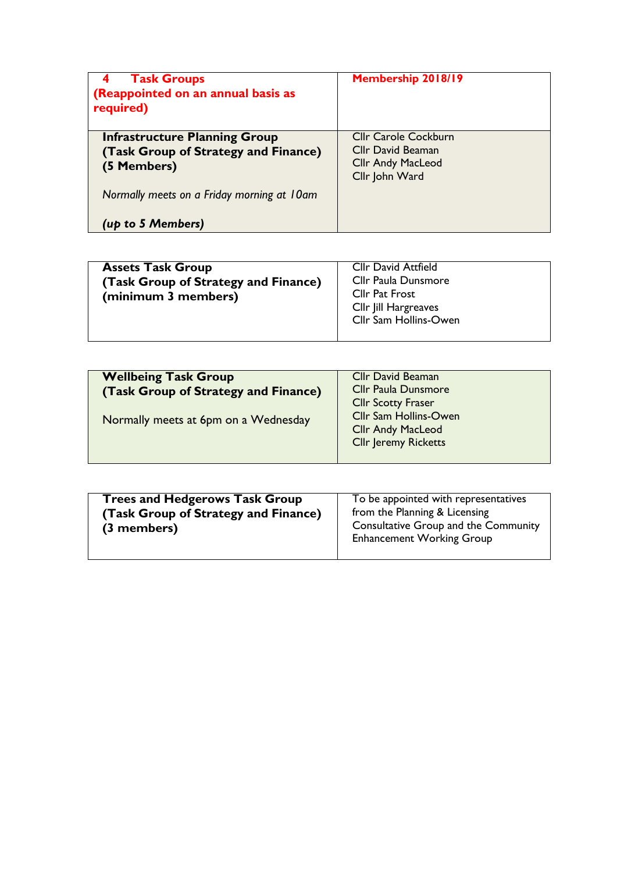| <b>Task Groups</b><br>4<br>(Reappointed on an annual basis as<br>required)                  | Membership 2018/19                                                                             |
|---------------------------------------------------------------------------------------------|------------------------------------------------------------------------------------------------|
| <b>Infrastructure Planning Group</b><br>(Task Group of Strategy and Finance)<br>(5 Members) | <b>Cllr Carole Cockburn</b><br>Cllr David Beaman<br><b>Cllr Andy MacLeod</b><br>Cllr John Ward |
| Normally meets on a Friday morning at 10am                                                  |                                                                                                |
| (up to 5 Members)                                                                           |                                                                                                |

| <b>Assets Task Group</b><br>(Task Group of Strategy and Finance)<br>(minimum 3 members) | <b>Cllr David Attfield</b><br>Cllr Paula Dunsmore<br><b>Cllr Pat Frost</b><br>Cllr Jill Hargreaves<br>Cllr Sam Hollins-Owen |
|-----------------------------------------------------------------------------------------|-----------------------------------------------------------------------------------------------------------------------------|
|                                                                                         |                                                                                                                             |

| <b>Wellbeing Task Group</b><br>(Task Group of Strategy and Finance) | <b>Cllr David Beaman</b><br><b>Cllr Paula Dunsmore</b><br><b>Cllr Scotty Fraser</b>     |
|---------------------------------------------------------------------|-----------------------------------------------------------------------------------------|
| Normally meets at 6pm on a Wednesday                                | <b>Cllr Sam Hollins-Owen</b><br><b>Cllr Andy MacLeod</b><br><b>Cllr Jeremy Ricketts</b> |